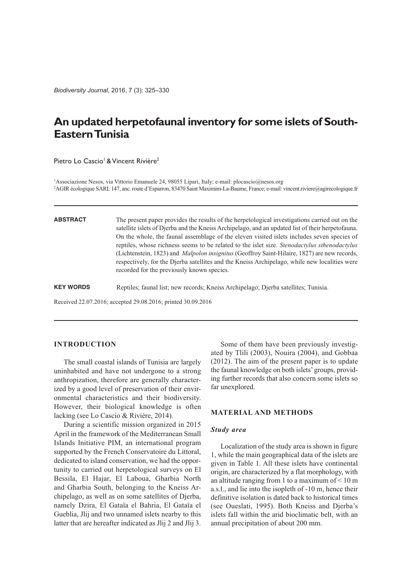*Biodiversity Journal*, 2016, 7 (3): 325–330

# **An updated herpetofaunal inventory for some islets of South-EasternTunisia**

Pietro Lo Cascio<sup>1</sup> & Vincent Rivière<sup>2</sup>

1 Associazione Nesos, via Vittorio Emanuele 24, 98055 Lipari, Italy; e-mail: plocascio@nesos.org 2 AGIRécologique SARL147, anc.route d'Esparron, 83470 Saint Maximim-La-Baume, France; e-mail: vincent.riviere@agirecologique.fr

**ABSTRACT** The present paper provides the results of the herpetological investigations carried out on the satellite islets of Djerba and the Kneiss Archipelago, and an updated list of their herpetofauna. On the whole, the faunal assemblage of the eleven visited islets includes seven species of reptiles, whose richness seems to be related to the islet size. *Stenodactylus sthenodactylus* (Lichtenstein, 1823) and *Malpolon insignitus* (Geoffroy Saint-Hilaire, 1827) are new records, respectively, for the Djerba satellites and the Kneiss Archipelago, while new localities were recorded for the previously known species.

**KEY WORDS** Reptiles; faunal list; new records; Kneiss Archipelago; Djerba satellites; Tunisia.

Received 22.07.2016; accepted 29.08.2016; printed 30.09.2016

# **INTRODUCTION**

The small coastal islands of Tunisia are largely uninhabited and have not undergone to a strong anthropization, therefore are generally characterized by a good level of preservation of their environmental characteristics and their biodiversity. However, their biological knowledge is often lacking (see Lo Cascio & Rivière, 2014).

During a scientific mission organized in 2015 April in the framework of the Mediterranean Small Islands Initiative PIM, an international program supported by the French Conservatoire du Littoral, dedicated to island conservation, we had the opportunity to carried out herpetological surveys on El Bessila, El Hajar, El Laboua, Gharbia North and Gharbia South, belonging to the Kneiss Archipelago, as well as on some satellites of Djerba, namely Dzira, El Gataïa el Bahria, El Gataïa el Gueblia, Jlij and two unnamed islets nearby to this latter that are hereafter indicated as Jlij 2 and Jlij 3.

Some of them have been previously investigated by Tlili (2003), Nouira (2004), and Gobbaa (2012). The aim of the present paper is to update the faunal knowledge on both islets' groups, providing further records that also concern some islets so far unexplored.

# **MATERIAL AND METHODS**

### *Study area*

Localization of the study area is shown in figure 1, while the main geographical data of the islets are given in Table 1. All these islets have continental origin, are characterized by a flat morphology, with an altitude ranging from 1 to a maximum of  $\leq 10$  m a.s.l., and lie into the isopleth of -10 m, hence their definitive isolation is dated back to historical times (see Oueslati, 1995). Both Kneiss and Djerba's islets fall within the arid bioclimatic belt, with an annual precipitation of about 200 mm.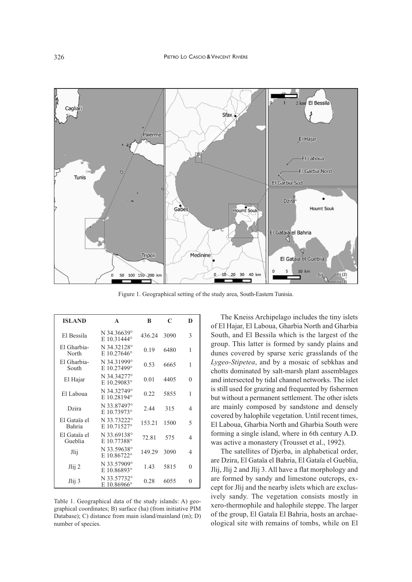

Figure 1. Geographical setting of the study area, South-Eastern Tunisia.

| <b>ISLAND</b>                 | A                                   | B      | C    | D |
|-------------------------------|-------------------------------------|--------|------|---|
| El Bessila                    | N 34.36639°<br>E 10.31444°          | 436.24 | 3090 | 3 |
| El Gharbia-<br>North          | N 34.32128°<br>E $10.27646^{\circ}$ | 0.19   | 6480 | 1 |
| El Gharbia-<br>South          | N 34.31999°<br>E 10.27499°          | 0.53   | 6665 | 1 |
| El Hajar                      | N 34.34277°<br>E 10.29083°          | 0.01   | 4405 | 0 |
| El Laboua                     | N 34.32749°<br>E 10.28194°          | 0.22   | 5855 | 1 |
| Dzira                         | N 33.87497°<br>E $10.73973$ °       | 2.44   | 315  | 4 |
| El Gataïa el<br><b>Bahria</b> | N 33.73222°<br>E 10.71527°          | 153.21 | 1500 | 5 |
| El Gataïa el<br>Gueblia       | N 33.69138°<br>E 10.77388°          | 72.81  | 575  | 4 |
| Jlij                          | N 33.59638°<br>E 10.86722°          | 149.29 | 3090 | 4 |
| Jlij <sub>i</sub> 2           | N 33.57909°<br>E 10.86893°          | 1.43   | 5815 | 0 |
| $Jliji$ 3                     | N 33.57732°<br>E 10.86966°          | 0.28   | 6055 | 0 |

Table 1. Geographical data of the study islands: A) geographical coordinates; B) surface (ha) (from initiative PIM Database); C) distance from main island/mainland (m); D) number of species.

The Kneiss Archipelago includes the tiny islets of El Hajar, El Laboua, Gharbia North and Gharbia South, and El Bessila which is the largest of the group. This latter is formed by sandy plains and dunes covered by sparse xeric grasslands of the *Lygeo-Stipetea*, and by a mosaic of sebkhas and chotts dominated by salt-marsh plant assemblages and intersected by tidal channel networks. The islet is still used for grazing and frequented by fishermen but without a permanent settlement. The other islets are mainly composed by sandstone and densely covered by halophile vegetation. Until recent times, El Laboua, Gharbia North and Gharbia South were forming a single island, where in 6th century A.D. was active a monastery (Trousset et al., 1992).

The satellites of Djerba, in alphabetical order, are Dzira, El Gataïa el Bahria, El Gataïa el Gueblia, Jlij, Jlij 2 and Jlij 3. All have a flat morphology and are formed by sandy and limestone outcrops, except for Jlij and the nearby islets which are exclusively sandy. The vegetation consists mostly in xero-thermophile and halophile steppe. The larger of the group, El Gataïa El Bahria, hosts an archaeological site with remains of tombs, while on El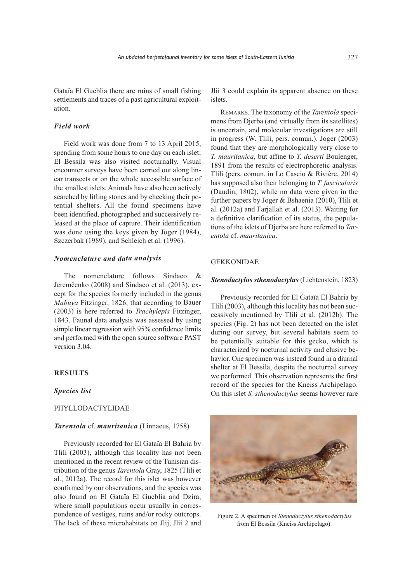Gataïa El Gueblia there are ruins of small fishing settlements and traces of <sup>a</sup> pas<sup>t</sup> agricultural exploitation.

# *Field work*

Field work was done from 7 to 13 April 2015, spending from some hours to one day on each islet; El Bessila was also visited nocturnally. Visual encounter surveys have been carried out along linear transects or on the whole accessible surface of the smallest islets. Animals have also been actively searched by lifting stones and by checking their potential shelters. All the found specimens have been identified, photographed and successively released at the place of capture. Their identification was done using the keys given by Joger (1984), Szczerbak (1989), and Schleich et al. (1996).

### *Nomenclature and data analysis*

The nomenclature follows Sindaco & Jeremčenko (2008) and Sindaco et al. (2013), excep<sup>t</sup> for the species formerly included in the genus *Mabuya* Fitzinger, 1826, that according to Bauer (2003) is here referred to *Trachylepis* Fitzinger, 1843. Faunal data analysis was assessed by using simple linear regression with 95% confidence limits and performed with the open source software PAST version 3.04.

## **RESULTS**

### *Species list*

# PHYLLODACTYLIDAE

### *Tarentola* cf. *mauritanica* (Linnaeus, 1758)

Previously recorded for El Gataïa El Bahria by Tlili (2003), although this locality has not been mentioned in the recent review of the Tunisian distribution of the genus *Tarentola* Gray, 1825 (Tlili et al., 2012a). The record for this islet was however confirmed by our observations, and the species was also found on El Gataïa El Gueblia and Dzira, where small populations occur usually in correspondence of vestiges, ruins and/or rocky outcrops. The lack of these microhabitats on Jlij, Jlii 2 and Jlii 3 could explain its apparen<sup>t</sup> absence on these islets.

REMARKS. The taxonomy of the *Tarentola* specimens from Djerba (and virtually from its satellites) is uncertain, and molecular investigations are still in progress (W. Tlili, pers. comun.). Joger (2003) found that they are morphologically very close to *T. mauritanica*, but affine to *T. deserti* Boulenger, 1891 from the results of electrophoretic analysis. Tlili (pers. comun. in Lo Cascio & Rivière, 2014) has supposed also their belonging to *T. fascicularis* (Daudin, 1802), while no data were given in the further papers by Joger & Bshaenia (2010), Tlili et al. (2012a) and Farjallah et al. (2013). Waiting for <sup>a</sup> definitive clarification of its status, the populations of the islets of Djerba are here referred to *Tarentola* cf. *mauritanica*.

### GEKKONIDAE

#### *Stenodactylus sthenodactylus* (Lichtenstein, 1823)

Previously recorded for El Gataïa El Bahria by Tlili (2003), although this locality has not been successively mentioned by Tlili et al. (2012b). The species (Fig. 2) has not been detected on the islet during our survey, but several habitats seem to be potentially suitable for this gecko, which is characterized by nocturnal activity and elusive behavior. One specimen was instead found in <sup>a</sup> diurnal shelter at El Bessila, despite the nocturnal survey we performed. This observation represents the first record of the species for the Kneiss Archipelago. On this islet *S. sthenodactylus* seems however rare



Figure 2. A specimen of *Stenodactylus sthenodactylus* from El Bessila (Kneiss Archipelago).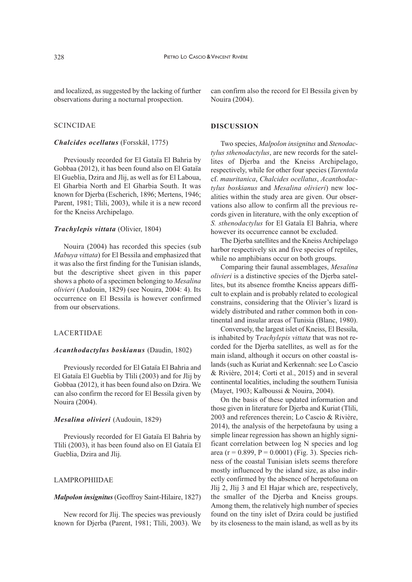and localized, as suggested by the lacking of further observations during a nocturnal prospection.

# SCINCIDAE

### *Chalcides ocellatus* (Forsskål, 1775)

Previously recorded for El Gataïa El Bahria by Gobbaa (2012), it has been found also on El Gataïa El Gueblia, Dzira and Jlij, as well as for El Laboua, El Gharbia North and El Gharbia South. It was known for Djerba (Escherich, 1896; Mertens, 1946; Parent, 1981; Thili, 2003), while it is a new record for the Kneiss Archipelago.

### *Trachylepis vittata* (Olivier, 1804)

Nouira (2004) has recorded this species (sub *Mabuya vittata*) for El Bessila and emphasized that it was also the first finding for the Tunisian islands, but the descriptive sheet given in this paper shows a photo of a specimen belonging to *Mesalina olivieri* (Audouin, 1829) (see Nouira, 2004: 4). Its occurrence on El Bessila is however confirmed from our observations.

# LACERTIDAE

#### *Acanthodactylus boskianus* (Daudin, 1802)

Previously recorded for El Gataïa El Bahria and El Gataïa El Gueblia by Tlili (2003) and for Jlij by Gobbaa (2012), it has been found also on Dzira. We can also confirm the record for El Bessila given by Nouira (2004).

### *Mesalina olivieri* (Audouin, 1829)

Previously recorded for El Gataïa El Bahria by Tlili (2003), it has been found also on El Gataïa El Gueblia, Dzira and Jlij.

# LAMPROPHIIDAE

#### *Malpolon insignitus* (Geoffroy Saint-Hilaire, 1827)

New record for Jlij. The species was previously known for Djerba (Parent, 1981; Tlili, 2003). We

can confirm also the record for El Bessila given by Nouira (2004).

# **DISCUSSION**

Two species, *Malpolon insignitus* and *Stenodactylus sthenodactylus*, are new records for the satellites of Djerba and the Kneiss Archipelago, respectively, while for other four species (*Tarentola* cf. *mauritanica*, *Chalcides ocellatus*, *Acanthodactylus boskianus* and *Mesalina olivieri*) new localities within the study area are given. Our observations also allow to confirm all the previous records given in literature, with the only exception of *S. sthenodactylus* for El Gataïa El Bahria, where however its occurrence cannot be excluded.

The Dierba satellites and the Kneiss Archipelago harbor respectively six and five species of reptiles, while no amphibians occur on both groups.

Comparing their faunal assemblages, *Mesalina olivieri* is a distinctive species of the Djerba satellites, but its absence fromthe Kneiss appears difficult to explain and is probably related to ecological constrains, considering that the Olivier's lizard is widely distributed and rather common both in continental and insular areas of Tunisia (Blanc, 1980).

Conversely, the largest islet of Kneiss, El Bessila, is inhabited by T*rachylepis vittata* that was not recorded for the Djerba satellites, as well as for the main island, although it occurs on other coastal islands (such as Kuriat and Kerkennah: see Lo Cascio & Rivière, 2014; Corti et al., 2015) and in several continental localities, including the southern Tunisia (Mayet, 1903; Kalboussi & Nouira, 2004).

On the basis of these updated information and those given in literature for Djerba and Kuriat (Tlili, 2003 and references therein; Lo Cascio & Rivière, 2014), the analysis of the herpetofauna by using a simple linear regression has shown an highly significant correlation between log N species and log area (r = 0.899, P = 0.0001) (Fig. 3). Species richness of the coastal Tunisian islets seems therefore mostly influenced by the island size, as also indirectly confirmed by the absence of herpetofauna on Jlij 2, Jlij 3 and El Hajar which are, respectively, the smaller of the Djerba and Kneiss groups. Among them, the relatively high number of species found on the tiny islet of Dzira could be justified by its closeness to the main island, as well as by its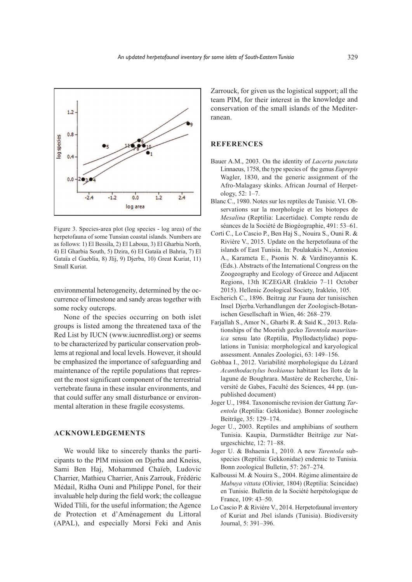

Figure 3. Species-area plot (log species - log area) of the herpetofauna of some Tunsian coastal islands. Numbers are as follows: 1) El Bessila, 2) El Laboua, 3) El Gharbia North, 4) El Gharbia South, 5) Dzira, 6) El Gataïa el Bahria, 7) El Gataïa el Gueblia, 8) Jlij, 9) Djerba, 10) Great Kuriat, 11) Small Kuriat.

environmental heterogeneity, determined by the occurrence of limestone and sandy areas together with some rocky outcrops.

None of the species occurring on both islet groups is listed among the threatened taxa of the Red List by IUCN (www.iucnredlist.org) or seems to be characterized by particular conservation problems at regional and local levels. However, it should be emphasized the importance of safeguarding and maintenance of the reptile populations that represent the most significant componen<sup>t</sup> of the terrestrial vertebrate fauna in these insular environments, and that could suffer any small disturbance or environmental alteration in these fragile ecosystems.

### **ACKNOWLEDGEMENTS**

We would like to sincerely thanks the participants to the PIM mission on Djerba and Kneiss, Sami Ben Haj, Mohammed Chaïeb, Ludovic Charrier, Mathieu Charrier, Anis Zarrouk, Frédéric Médail, Ridha Ouni and Philippe Ponel, for their invaluable help during the field work; the colleague Wided Tlili, for the useful information; the Agence de Protection et d'Aménagement du Littoral (APAL), and especially Morsi Feki and Anis Zarrouck, for given us the logistical support; all the team PIM, for their interest in the knowledge and conservation of the small islands of the Mediterranean.

# **REFERENCES**

- Bauer A.M., 2003. On the identity of *Lacerta punctata* Linnaeus, 1758, the type species of the genus *Euprepis* Wagler, 1830, and the generic assignment of the Afro-Malagasy skinks. African Journal of Herpetology, 52: 1–7.
- Blanc C., 1980. Notes sur les reptiles de Tunisie. VI. Observations sur la morphologie et les biotopes de *Mesalina* (Reptilia: Lacertidae). Compte rendu de séances de la Société de Biogéographie, 491: 53–61.
- Corti C., Lo Cascio P., Ben Haj S., Nouira S., Ouni R. & Rivière V., 2015. Update on the herpetofauna of the islands of East Tunisia. In: Poulakakis N., Antoniou A., Karameta E., Psonis N. & Vardinoyannis K. (Eds.). Abstracts of the International Congress on the Zoogeography and Ecology of Greece and Adjacent Regions, 13th ICZEGAR (Irakleio 7–11 October 2015). Hellenic Zoological Society, Irakleio, 105.
- Escherich C., 1896. Beitrag zur Fauna der tunisischen Insel Djerba.Verhandlungen der Zoologisch-Botanischen Gesellschaft in Wien, 46: 268–279.
- Farjallah S., Amor N., Gharbi R. & Said K., 2013. Relationships of the Moorish gecko *Tarentola mauritanica* sensu lato (Reptilia, Phyllodactylidae) populations in Tunisia: morphological and karyological assessment. Annales Zoologici, 63: 149–156.
- Gobbaa I., 2012. Variabilité morphologique du Lézard *Acanthodactylus boskianus* habitant les îlots de la lagune de Boughrara. Mastère de Recherche, Université de Gabes, Faculté des Sciences, 44 pp. (unpublished document)
- Joger U., 1984. Taxonomische revision der Gattung *Tarentola* (Reptilia: Gekkonidae). Bonner zoologische Beiträge, 35: 129–174.
- Joger U., 2003. Reptiles and amphibians of southern Tunisia. Kaupia, Darmstädter Beiträge zur Naturgeschichte, 12: 71–88.
- Joger U. & Bshaenia I., 2010. A new *Tarentola* subspecies (Reptilia: Gekkonidae) endemic to Tunisia. Bonn zoological Bulletin, 57: 267–274.
- Kalboussi M. & Nouira S., 2004. Régime alimentaire de *Mabuya vittata* (Olivier, 1804) (Reptilia: Scincidae) en Tunisie. Bulletin de la Société herpétologique de France, 109: 43–50.
- Lo Cascio P. & Riviére V., 2014. Herpetofaunal inventory of Kuriat and Jbel islands (Tunisia). Biodiversity Journal, 5: 391–396.